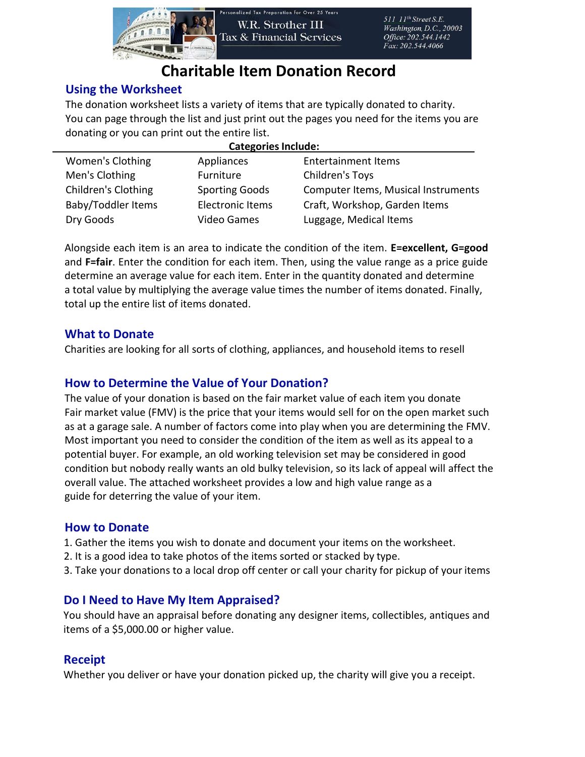

# **Charitable Item Donation Record**

### **Using the Worksheet**

The donation worksheet lists a variety of items that are typically donated to charity. You can page through the list and just print out the pages you need for the items you are donating or you can print out the entire list.

| <b>Categories Include:</b> |                         |                                     |  |  |  |  |  |
|----------------------------|-------------------------|-------------------------------------|--|--|--|--|--|
| Women's Clothing           | Appliances              | <b>Entertainment Items</b>          |  |  |  |  |  |
| Men's Clothing             | Furniture               | Children's Toys                     |  |  |  |  |  |
| <b>Children's Clothing</b> | <b>Sporting Goods</b>   | Computer Items, Musical Instruments |  |  |  |  |  |
| <b>Baby/Toddler Items</b>  | <b>Electronic Items</b> | Craft, Workshop, Garden Items       |  |  |  |  |  |
| Dry Goods                  | <b>Video Games</b>      | Luggage, Medical Items              |  |  |  |  |  |

Alongside each item is an area to indicate the condition of the item. **E=excellent, G=good** and **F=fair**. Enter the condition for each item. Then, using the value range as a price guide determine an average value for each item. Enter in the quantity donated and determine a total value by multiplying the average value times the number of items donated. Finally, total up the entire list of items donated.

#### **What to Donate**

Charities are looking for all sorts of clothing, appliances, and household items to resell

### **How to Determine the Value of Your Donation?**

The value of your donation is based on the fair market value of each item you donate Fair market value (FMV) is the price that your items would sell for on the open market such as at a garage sale. A number of factors come into play when you are determining the FMV. Most important you need to consider the condition of the item as well as its appeal to a potential buyer. For example, an old working television set may be considered in good condition but nobody really wants an old bulky television, so its lack of appeal will affect the overall value. The attached worksheet provides a low and high value range as a guide for deterring the value of your item.

#### **How to Donate**

- 1. Gather the items you wish to donate and document your items on the worksheet.
- 2. It is a good idea to take photos of the items sorted or stacked by type.
- 3. Take your donations to a local drop off center or call your charity for pickup of your items

#### **Do I Need to Have My Item Appraised?**

You should have an appraisal before donating any designer items, collectibles, antiques and items of a \$5,000.00 or higher value.

#### **Receipt**

Whether you deliver or have your donation picked up, the charity will give you a receipt.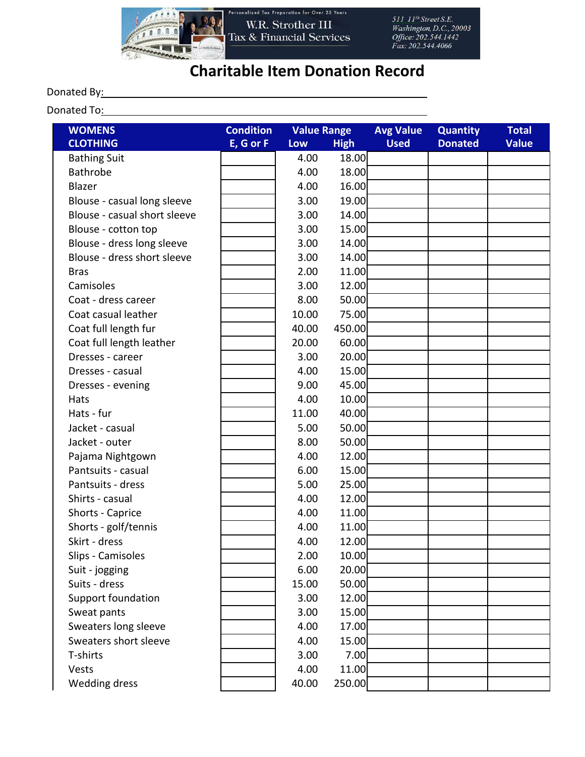

## **Charitable Item Donation Record**

#### Donated By: North Control By: North Control By:

Donated To: example and the contract of the contract of the contract of the contract of the contract of the contract of the contract of the contract of the contract of the contract of the contract of the contract of the co

| <b>WOMENS</b>                | <b>Condition</b> | <b>Value Range</b> |             | <b>Avg Value</b> | <b>Quantity</b> | <b>Total</b> |
|------------------------------|------------------|--------------------|-------------|------------------|-----------------|--------------|
| <b>CLOTHING</b>              | E, G or F        | Low                | <b>High</b> | <b>Used</b>      | <b>Donated</b>  | <b>Value</b> |
| <b>Bathing Suit</b>          |                  | 4.00               | 18.00       |                  |                 |              |
| <b>Bathrobe</b>              |                  | 4.00               | 18.00       |                  |                 |              |
| Blazer                       |                  | 4.00               | 16.00       |                  |                 |              |
| Blouse - casual long sleeve  |                  | 3.00               | 19.00       |                  |                 |              |
| Blouse - casual short sleeve |                  | 3.00               | 14.00       |                  |                 |              |
| Blouse - cotton top          |                  | 3.00               | 15.00       |                  |                 |              |
| Blouse - dress long sleeve   |                  | 3.00               | 14.00       |                  |                 |              |
| Blouse - dress short sleeve  |                  | 3.00               | 14.00       |                  |                 |              |
| <b>Bras</b>                  |                  | 2.00               | 11.00       |                  |                 |              |
| Camisoles                    |                  | 3.00               | 12.00       |                  |                 |              |
| Coat - dress career          |                  | 8.00               | 50.00       |                  |                 |              |
| Coat casual leather          |                  | 10.00              | 75.00       |                  |                 |              |
| Coat full length fur         |                  | 40.00              | 450.00      |                  |                 |              |
| Coat full length leather     |                  | 20.00              | 60.00       |                  |                 |              |
| Dresses - career             |                  | 3.00               | 20.00       |                  |                 |              |
| Dresses - casual             |                  | 4.00               | 15.00       |                  |                 |              |
| Dresses - evening            |                  | 9.00               | 45.00       |                  |                 |              |
| Hats                         |                  | 4.00               | 10.00       |                  |                 |              |
| Hats - fur                   |                  | 11.00              | 40.00       |                  |                 |              |
| Jacket - casual              |                  | 5.00               | 50.00       |                  |                 |              |
| Jacket - outer               |                  | 8.00               | 50.00       |                  |                 |              |
| Pajama Nightgown             |                  | 4.00               | 12.00       |                  |                 |              |
| Pantsuits - casual           |                  | 6.00               | 15.00       |                  |                 |              |
| Pantsuits - dress            |                  | 5.00               | 25.00       |                  |                 |              |
| Shirts - casual              |                  | 4.00               | 12.00       |                  |                 |              |
| Shorts - Caprice             |                  | 4.00               | 11.00       |                  |                 |              |
| Shorts - golf/tennis         |                  | 4.00               | 11.00       |                  |                 |              |
| Skirt - dress                |                  | 4.00               | 12.00       |                  |                 |              |
| Slips - Camisoles            |                  | 2.00               | 10.00       |                  |                 |              |
| Suit - jogging               |                  | 6.00               | 20.00       |                  |                 |              |
| Suits - dress                |                  | 15.00              | 50.00       |                  |                 |              |
| Support foundation           |                  | 3.00               | 12.00       |                  |                 |              |
| Sweat pants                  |                  | 3.00               | 15.00       |                  |                 |              |
| Sweaters long sleeve         |                  | 4.00               | 17.00       |                  |                 |              |
| Sweaters short sleeve        |                  | 4.00               | 15.00       |                  |                 |              |
| T-shirts                     |                  | 3.00               | 7.00        |                  |                 |              |
| Vests                        |                  | 4.00               | 11.00       |                  |                 |              |
| <b>Wedding dress</b>         |                  | 40.00              | 250.00      |                  |                 |              |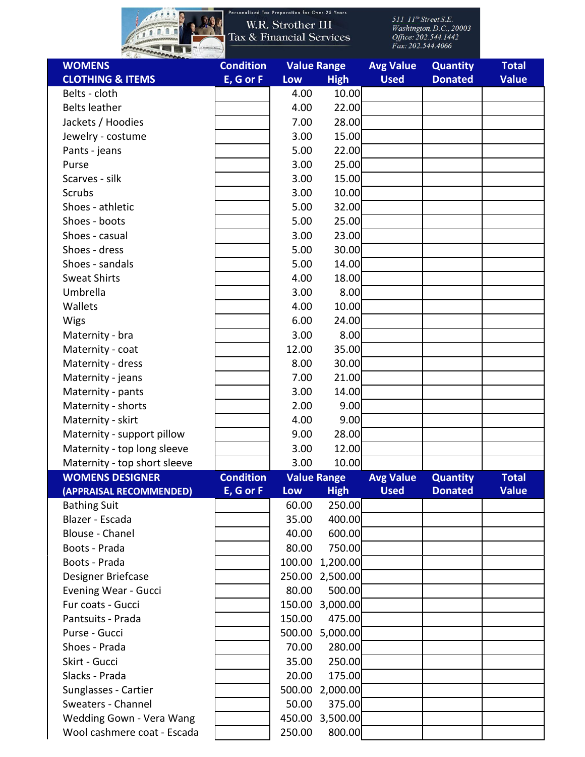

Personalized Tax Preparation for Over 25 Years

| <b>WOMENS</b>                | <b>Condition</b> |        | <b>Value Range</b> | <b>Avg Value</b> | <b>Quantity</b> | <b>Total</b> |
|------------------------------|------------------|--------|--------------------|------------------|-----------------|--------------|
| <b>CLOTHING &amp; ITEMS</b>  | E, G or F        | Low    | <b>High</b>        | <b>Used</b>      | <b>Donated</b>  | <b>Value</b> |
| Belts - cloth                |                  | 4.00   | 10.00              |                  |                 |              |
| <b>Belts leather</b>         |                  | 4.00   | 22.00              |                  |                 |              |
| Jackets / Hoodies            |                  | 7.00   | 28.00              |                  |                 |              |
| Jewelry - costume            |                  | 3.00   | 15.00              |                  |                 |              |
| Pants - jeans                |                  | 5.00   | 22.00              |                  |                 |              |
| Purse                        |                  | 3.00   | 25.00              |                  |                 |              |
| Scarves - silk               |                  | 3.00   | 15.00              |                  |                 |              |
| Scrubs                       |                  | 3.00   | 10.00              |                  |                 |              |
| Shoes - athletic             |                  | 5.00   | 32.00              |                  |                 |              |
| Shoes - boots                |                  | 5.00   | 25.00              |                  |                 |              |
| Shoes - casual               |                  | 3.00   | 23.00              |                  |                 |              |
| Shoes - dress                |                  | 5.00   | 30.00              |                  |                 |              |
| Shoes - sandals              |                  | 5.00   | 14.00              |                  |                 |              |
| <b>Sweat Shirts</b>          |                  | 4.00   | 18.00              |                  |                 |              |
| Umbrella                     |                  | 3.00   | 8.00               |                  |                 |              |
| Wallets                      |                  | 4.00   | 10.00              |                  |                 |              |
| Wigs                         |                  | 6.00   | 24.00              |                  |                 |              |
| Maternity - bra              |                  | 3.00   | 8.00               |                  |                 |              |
| Maternity - coat             |                  | 12.00  | 35.00              |                  |                 |              |
|                              |                  |        | 30.00              |                  |                 |              |
| Maternity - dress            |                  | 8.00   |                    |                  |                 |              |
| Maternity - jeans            |                  | 7.00   | 21.00              |                  |                 |              |
| Maternity - pants            |                  | 3.00   | 14.00              |                  |                 |              |
| Maternity - shorts           |                  | 2.00   | 9.00               |                  |                 |              |
| Maternity - skirt            |                  | 4.00   | 9.00               |                  |                 |              |
| Maternity - support pillow   |                  | 9.00   | 28.00              |                  |                 |              |
| Maternity - top long sleeve  |                  | 3.00   | 12.00              |                  |                 |              |
| Maternity - top short sleeve |                  | 3.00   | 10.00              |                  |                 |              |
| <b>WOMENS DESIGNER</b>       | <b>Condition</b> |        | <b>Value Range</b> | <b>Avg Value</b> | <b>Quantity</b> | <b>Total</b> |
| (APPRAISAL RECOMMENDED)      | E, G or F        | Low    | <b>High</b>        | <b>Used</b>      | <b>Donated</b>  | <b>Value</b> |
| <b>Bathing Suit</b>          |                  | 60.00  | 250.00             |                  |                 |              |
| Blazer - Escada              |                  | 35.00  | 400.00             |                  |                 |              |
| <b>Blouse - Chanel</b>       |                  | 40.00  | 600.00             |                  |                 |              |
| Boots - Prada                |                  | 80.00  | 750.00             |                  |                 |              |
| Boots - Prada                |                  | 100.00 | 1,200.00           |                  |                 |              |
| Designer Briefcase           |                  |        | 250.00 2,500.00    |                  |                 |              |
| <b>Evening Wear - Gucci</b>  |                  | 80.00  | 500.00             |                  |                 |              |
| Fur coats - Gucci            |                  |        | 150.00 3,000.00    |                  |                 |              |
| Pantsuits - Prada            |                  | 150.00 | 475.00             |                  |                 |              |
| Purse - Gucci                |                  |        | 500.00 5,000.00    |                  |                 |              |
| Shoes - Prada                |                  | 70.00  | 280.00             |                  |                 |              |
| Skirt - Gucci                |                  | 35.00  | 250.00             |                  |                 |              |
| Slacks - Prada               |                  | 20.00  | 175.00             |                  |                 |              |
| Sunglasses - Cartier         |                  |        | 500.00 2,000.00    |                  |                 |              |
| Sweaters - Channel           |                  | 50.00  | 375.00             |                  |                 |              |
| Wedding Gown - Vera Wang     |                  | 450.00 | 3,500.00           |                  |                 |              |
| Wool cashmere coat - Escada  |                  | 250.00 | 800.00             |                  |                 |              |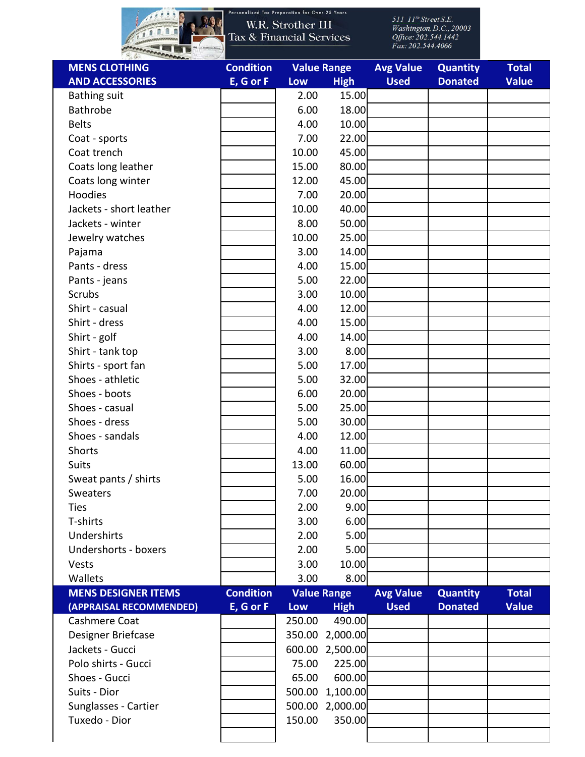

Personalized Tax Preparation for Over 25 Years

| <b>MENS CLOTHING</b>       | <b>Condition</b> |        | <b>Value Range</b> | <b>Avg Value</b> | <b>Quantity</b> | <b>Total</b> |
|----------------------------|------------------|--------|--------------------|------------------|-----------------|--------------|
| <b>AND ACCESSORIES</b>     | E, G or F        | Low    | <b>High</b>        | <b>Used</b>      | <b>Donated</b>  | <b>Value</b> |
| <b>Bathing suit</b>        |                  | 2.00   | 15.00              |                  |                 |              |
| <b>Bathrobe</b>            |                  | 6.00   | 18.00              |                  |                 |              |
| <b>Belts</b>               |                  | 4.00   | 10.00              |                  |                 |              |
| Coat - sports              |                  | 7.00   | 22.00              |                  |                 |              |
| Coat trench                |                  | 10.00  | 45.00              |                  |                 |              |
| Coats long leather         |                  | 15.00  | 80.00              |                  |                 |              |
| Coats long winter          |                  | 12.00  | 45.00              |                  |                 |              |
| Hoodies                    |                  | 7.00   | 20.00              |                  |                 |              |
| Jackets - short leather    |                  | 10.00  | 40.00              |                  |                 |              |
| Jackets - winter           |                  | 8.00   | 50.00              |                  |                 |              |
| Jewelry watches            |                  | 10.00  | 25.00              |                  |                 |              |
| Pajama                     |                  | 3.00   | 14.00              |                  |                 |              |
| Pants - dress              |                  | 4.00   | 15.00              |                  |                 |              |
| Pants - jeans              |                  | 5.00   | 22.00              |                  |                 |              |
| <b>Scrubs</b>              |                  | 3.00   | 10.00              |                  |                 |              |
| Shirt - casual             |                  | 4.00   | 12.00              |                  |                 |              |
| Shirt - dress              |                  | 4.00   | 15.00              |                  |                 |              |
| Shirt - golf               |                  | 4.00   | 14.00              |                  |                 |              |
| Shirt - tank top           |                  | 3.00   | 8.00               |                  |                 |              |
| Shirts - sport fan         |                  | 5.00   | 17.00              |                  |                 |              |
| Shoes - athletic           |                  | 5.00   | 32.00              |                  |                 |              |
| Shoes - boots              |                  | 6.00   | 20.00              |                  |                 |              |
| Shoes - casual             |                  | 5.00   | 25.00              |                  |                 |              |
| Shoes - dress              |                  | 5.00   | 30.00              |                  |                 |              |
| Shoes - sandals            |                  | 4.00   | 12.00              |                  |                 |              |
| Shorts                     |                  | 4.00   | 11.00              |                  |                 |              |
| <b>Suits</b>               |                  | 13.00  | 60.00              |                  |                 |              |
| Sweat pants / shirts       |                  | 5.00   | 16.00              |                  |                 |              |
| Sweaters                   |                  | 7.00   | 20.00              |                  |                 |              |
| <b>Ties</b>                |                  | 2.00   | 9.00               |                  |                 |              |
| T-shirts                   |                  | 3.00   | 6.00               |                  |                 |              |
| Undershirts                |                  | 2.00   | 5.00               |                  |                 |              |
| Undershorts - boxers       |                  | 2.00   | 5.00               |                  |                 |              |
| Vests                      |                  | 3.00   | 10.00              |                  |                 |              |
| Wallets                    |                  | 3.00   | 8.00               |                  |                 |              |
| <b>MENS DESIGNER ITEMS</b> | <b>Condition</b> |        | <b>Value Range</b> | <b>Avg Value</b> | <b>Quantity</b> | <b>Total</b> |
| (APPRAISAL RECOMMENDED)    | E, G or F        | Low    | <b>High</b>        | <b>Used</b>      | <b>Donated</b>  | <b>Value</b> |
| Cashmere Coat              |                  | 250.00 | 490.00             |                  |                 |              |
| Designer Briefcase         |                  | 350.00 | 2,000.00           |                  |                 |              |
| Jackets - Gucci            |                  | 600.00 | 2,500.00           |                  |                 |              |
| Polo shirts - Gucci        |                  | 75.00  | 225.00             |                  |                 |              |
| Shoes - Gucci              |                  | 65.00  | 600.00             |                  |                 |              |
| Suits - Dior               |                  | 500.00 | 1,100.00           |                  |                 |              |
| Sunglasses - Cartier       |                  | 500.00 | 2,000.00           |                  |                 |              |
| Tuxedo - Dior              |                  | 150.00 | 350.00             |                  |                 |              |
|                            |                  |        |                    |                  |                 |              |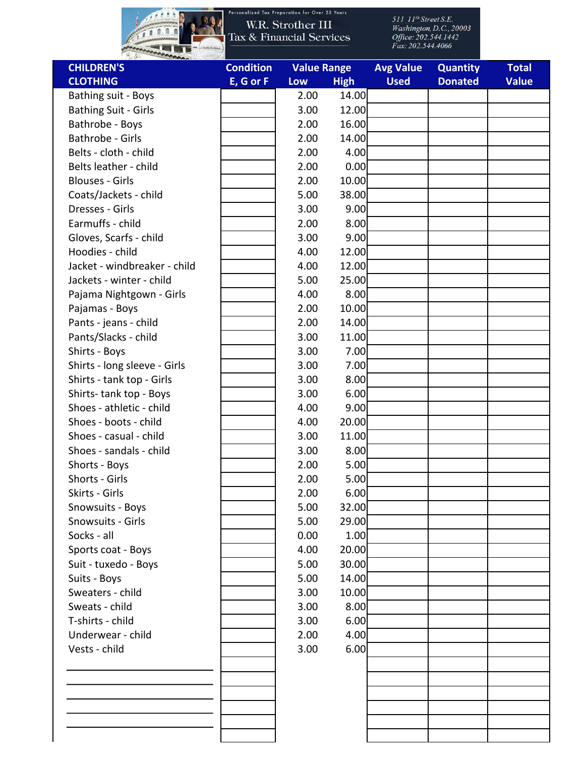

| <b>CLOTHING</b><br>Bathing suit - Boys | E, G or F | Low  | <b>High</b> | <b>Used</b> | <b>Donated</b> | <b>Value</b> |
|----------------------------------------|-----------|------|-------------|-------------|----------------|--------------|
|                                        |           |      |             |             |                |              |
|                                        |           | 2.00 | 14.00       |             |                |              |
| <b>Bathing Suit - Girls</b>            |           | 3.00 | 12.00       |             |                |              |
| Bathrobe - Boys                        |           | 2.00 | 16.00       |             |                |              |
| <b>Bathrobe - Girls</b>                |           | 2.00 | 14.00       |             |                |              |
| Belts - cloth - child                  |           | 2.00 | 4.00        |             |                |              |
| Belts leather - child                  |           | 2.00 | 0.00        |             |                |              |
| <b>Blouses - Girls</b>                 |           | 2.00 | 10.00       |             |                |              |
| Coats/Jackets - child                  |           | 5.00 | 38.00       |             |                |              |
| Dresses - Girls                        |           | 3.00 | 9.00        |             |                |              |
| Earmuffs - child                       |           | 2.00 | 8.00        |             |                |              |
| Gloves, Scarfs - child                 |           | 3.00 | 9.00        |             |                |              |
| Hoodies - child                        |           | 4.00 | 12.00       |             |                |              |
| Jacket - windbreaker - child           |           | 4.00 | 12.00       |             |                |              |
| Jackets - winter - child               |           | 5.00 | 25.00       |             |                |              |
| Pajama Nightgown - Girls               |           | 4.00 | 8.00        |             |                |              |
| Pajamas - Boys                         |           | 2.00 | 10.00       |             |                |              |
| Pants - jeans - child                  |           | 2.00 | 14.00       |             |                |              |
| Pants/Slacks - child                   |           | 3.00 | 11.00       |             |                |              |
| Shirts - Boys                          |           | 3.00 | 7.00        |             |                |              |
| Shirts - long sleeve - Girls           |           | 3.00 | 7.00        |             |                |              |
| Shirts - tank top - Girls              |           | 3.00 | 8.00        |             |                |              |
| Shirts-tank top - Boys                 |           | 3.00 | 6.00        |             |                |              |
| Shoes - athletic - child               |           | 4.00 | 9.00        |             |                |              |
| Shoes - boots - child                  |           | 4.00 | 20.00       |             |                |              |
| Shoes - casual - child                 |           | 3.00 | 11.00       |             |                |              |
| Shoes - sandals - child                |           | 3.00 | 8.00        |             |                |              |
| Shorts - Boys                          |           | 2.00 | 5.00        |             |                |              |
| Shorts - Girls                         |           | 2.00 | 5.00        |             |                |              |
| Skirts - Girls                         |           | 2.00 | 6.00        |             |                |              |
| Snowsuits - Boys                       |           | 5.00 | 32.00       |             |                |              |
| Snowsuits - Girls                      |           | 5.00 | 29.00       |             |                |              |
| Socks - all                            |           | 0.00 | 1.00        |             |                |              |
| Sports coat - Boys                     |           | 4.00 | 20.00       |             |                |              |
| Suit - tuxedo - Boys                   |           | 5.00 | 30.00       |             |                |              |
| Suits - Boys                           |           | 5.00 | 14.00       |             |                |              |
| Sweaters - child                       |           | 3.00 | 10.00       |             |                |              |
| Sweats - child                         |           | 3.00 | 8.00        |             |                |              |
| T-shirts - child                       |           | 3.00 | 6.00        |             |                |              |
| Underwear - child                      |           | 2.00 | 4.00        |             |                |              |
| Vests - child                          |           | 3.00 | 6.00        |             |                |              |
|                                        |           |      |             |             |                |              |
|                                        |           |      |             |             |                |              |
|                                        |           |      |             |             |                |              |
|                                        |           |      |             |             |                |              |
|                                        |           |      |             |             |                |              |
|                                        |           |      |             |             |                |              |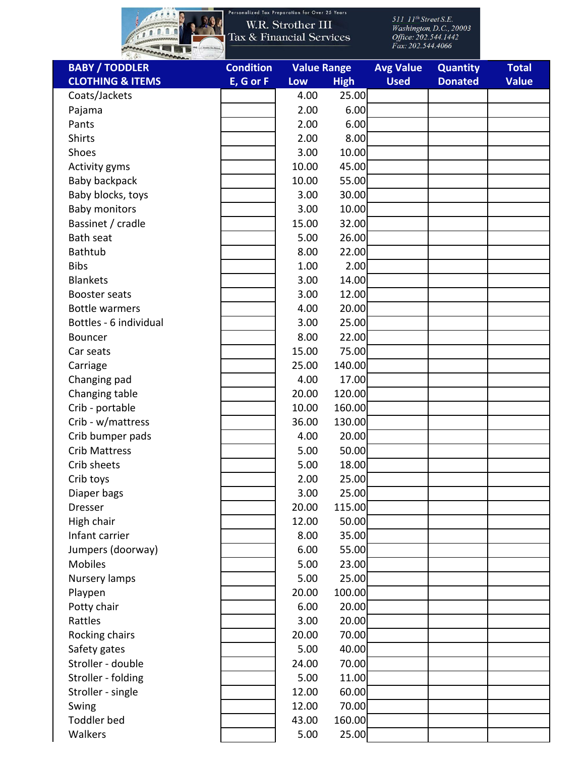

Personalized Tax Preparation for Over 25 Years

| <b>BABY / TODDLER</b>               | <b>Condition</b> | <b>Value Range</b> |             | <b>Avg Value</b> | <b>Quantity</b> | <b>Total</b> |
|-------------------------------------|------------------|--------------------|-------------|------------------|-----------------|--------------|
| <b>CLOTHING &amp; ITEMS</b>         | E, G or F        | Low                | <b>High</b> | <b>Used</b>      | <b>Donated</b>  | <b>Value</b> |
| Coats/Jackets                       |                  | 4.00               | 25.00       |                  |                 |              |
| Pajama                              |                  | 2.00               | 6.00        |                  |                 |              |
| Pants                               |                  | 2.00               | 6.00        |                  |                 |              |
| Shirts                              |                  | 2.00               | 8.00        |                  |                 |              |
| Shoes                               |                  | 3.00               | 10.00       |                  |                 |              |
| Activity gyms                       |                  | 10.00              | 45.00       |                  |                 |              |
| Baby backpack                       |                  | 10.00              | 55.00       |                  |                 |              |
| Baby blocks, toys                   |                  | 3.00               | 30.00       |                  |                 |              |
| <b>Baby monitors</b>                |                  | 3.00               | 10.00       |                  |                 |              |
| Bassinet / cradle                   |                  | 15.00              | 32.00       |                  |                 |              |
| <b>Bath seat</b>                    |                  | 5.00               | 26.00       |                  |                 |              |
| <b>Bathtub</b>                      |                  | 8.00               | 22.00       |                  |                 |              |
| <b>Bibs</b>                         |                  | 1.00               | 2.00        |                  |                 |              |
| <b>Blankets</b>                     |                  | 3.00               | 14.00       |                  |                 |              |
| Booster seats                       |                  | 3.00               | 12.00       |                  |                 |              |
| <b>Bottle warmers</b>               |                  | 4.00               | 20.00       |                  |                 |              |
| Bottles - 6 individual              |                  | 3.00               | 25.00       |                  |                 |              |
| Bouncer                             |                  | 8.00               | 22.00       |                  |                 |              |
| Car seats                           |                  | 15.00              | 75.00       |                  |                 |              |
| Carriage                            |                  | 25.00              | 140.00      |                  |                 |              |
| Changing pad                        |                  | 4.00               | 17.00       |                  |                 |              |
| Changing table                      |                  | 20.00              | 120.00      |                  |                 |              |
| Crib - portable                     |                  | 10.00              | 160.00      |                  |                 |              |
| Crib - w/mattress                   |                  | 36.00              | 130.00      |                  |                 |              |
| Crib bumper pads                    |                  | 4.00               | 20.00       |                  |                 |              |
| <b>Crib Mattress</b>                |                  | 5.00               | 50.00       |                  |                 |              |
| Crib sheets                         |                  | 5.00               | 18.00       |                  |                 |              |
| Crib toys                           |                  | 2.00               | 25.00       |                  |                 |              |
| Diaper bags                         |                  | 3.00               | 25.00       |                  |                 |              |
| <b>Dresser</b>                      |                  | 20.00              | 115.00      |                  |                 |              |
| High chair                          |                  | 12.00              | 50.00       |                  |                 |              |
| Infant carrier                      |                  | 8.00               | 35.00       |                  |                 |              |
|                                     |                  | 6.00               | 55.00       |                  |                 |              |
| Jumpers (doorway)<br><b>Mobiles</b> |                  | 5.00               | 23.00       |                  |                 |              |
|                                     |                  | 5.00               | 25.00       |                  |                 |              |
| Nursery lamps                       |                  |                    |             |                  |                 |              |
| Playpen                             |                  | 20.00              | 100.00      |                  |                 |              |
| Potty chair                         |                  | 6.00               | 20.00       |                  |                 |              |
| Rattles                             |                  | 3.00               | 20.00       |                  |                 |              |
| Rocking chairs                      |                  | 20.00              | 70.00       |                  |                 |              |
| Safety gates                        |                  | 5.00               | 40.00       |                  |                 |              |
| Stroller - double                   |                  | 24.00              | 70.00       |                  |                 |              |
| Stroller - folding                  |                  | 5.00               | 11.00       |                  |                 |              |
| Stroller - single                   |                  | 12.00              | 60.00       |                  |                 |              |
| Swing                               |                  | 12.00              | 70.00       |                  |                 |              |
| <b>Toddler bed</b>                  |                  | 43.00              | 160.00      |                  |                 |              |
| Walkers                             |                  | 5.00               | 25.00       |                  |                 |              |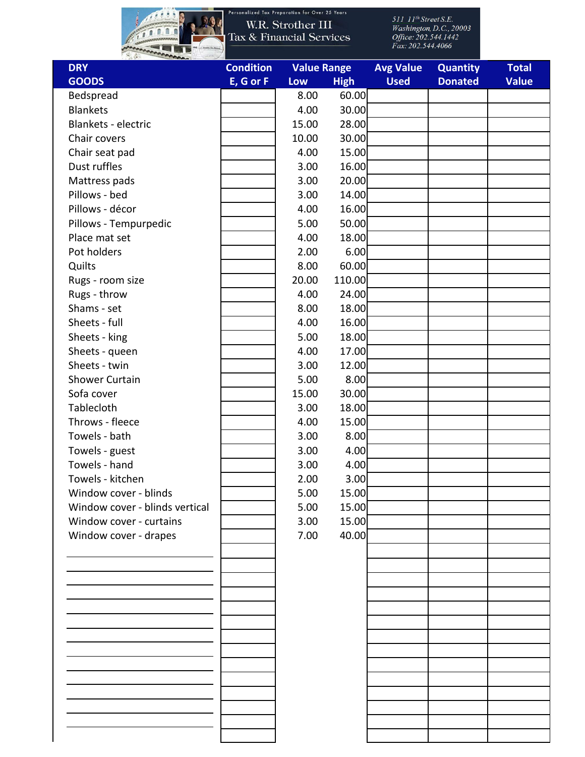

| <b>Condition</b> |       |             | <b>Avg Value</b>   | <b>Quantity</b> | <b>Total</b> |
|------------------|-------|-------------|--------------------|-----------------|--------------|
| E, G or F        | Low   | <b>High</b> | <b>Used</b>        | <b>Donated</b>  | <b>Value</b> |
|                  | 8.00  | 60.00       |                    |                 |              |
|                  | 4.00  | 30.00       |                    |                 |              |
|                  | 15.00 | 28.00       |                    |                 |              |
|                  | 10.00 | 30.00       |                    |                 |              |
|                  | 4.00  | 15.00       |                    |                 |              |
|                  | 3.00  | 16.00       |                    |                 |              |
|                  | 3.00  | 20.00       |                    |                 |              |
|                  | 3.00  | 14.00       |                    |                 |              |
|                  | 4.00  | 16.00       |                    |                 |              |
|                  | 5.00  | 50.00       |                    |                 |              |
|                  | 4.00  | 18.00       |                    |                 |              |
|                  | 2.00  | 6.00        |                    |                 |              |
|                  | 8.00  | 60.00       |                    |                 |              |
|                  | 20.00 | 110.00      |                    |                 |              |
|                  | 4.00  | 24.00       |                    |                 |              |
|                  | 8.00  | 18.00       |                    |                 |              |
|                  | 4.00  | 16.00       |                    |                 |              |
|                  | 5.00  | 18.00       |                    |                 |              |
|                  | 4.00  | 17.00       |                    |                 |              |
|                  | 3.00  | 12.00       |                    |                 |              |
|                  | 5.00  | 8.00        |                    |                 |              |
|                  | 15.00 | 30.00       |                    |                 |              |
|                  | 3.00  | 18.00       |                    |                 |              |
|                  | 4.00  | 15.00       |                    |                 |              |
|                  | 3.00  | 8.00        |                    |                 |              |
|                  | 3.00  | 4.00        |                    |                 |              |
|                  | 3.00  | 4.00        |                    |                 |              |
|                  | 2.00  | 3.00        |                    |                 |              |
|                  | 5.00  | 15.00       |                    |                 |              |
|                  | 5.00  | 15.00       |                    |                 |              |
|                  | 3.00  | 15.00       |                    |                 |              |
|                  | 7.00  | 40.00       |                    |                 |              |
|                  |       |             |                    |                 |              |
|                  |       |             |                    |                 |              |
|                  |       |             |                    |                 |              |
|                  |       |             |                    |                 |              |
|                  |       |             |                    |                 |              |
|                  |       |             |                    |                 |              |
|                  |       |             |                    |                 |              |
|                  |       |             |                    |                 |              |
|                  |       |             |                    |                 |              |
|                  |       |             |                    |                 |              |
|                  |       |             |                    |                 |              |
|                  |       |             |                    |                 |              |
|                  |       |             |                    |                 |              |
|                  |       |             |                    |                 |              |
|                  |       |             | <b>Value Range</b> |                 |              |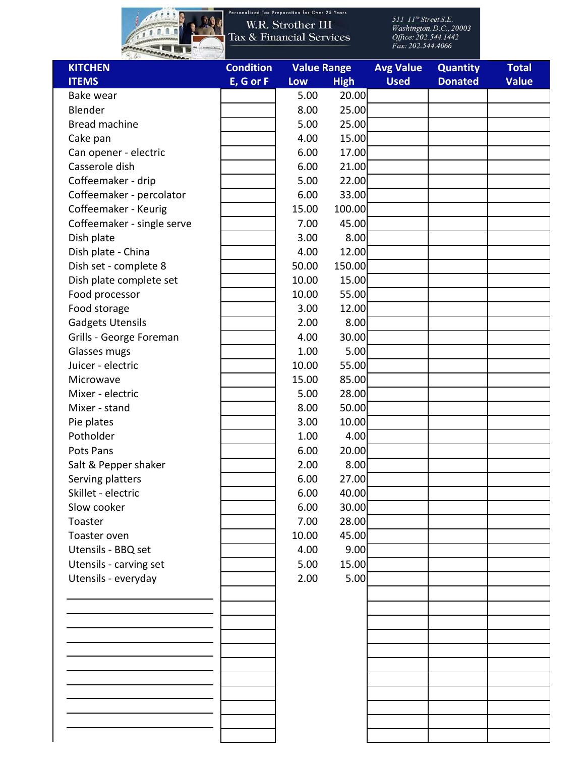

| <b>KITCHEN</b>             | <b>Condition</b> | <b>Value Range</b> |             | <b>Avg Value</b> | <b>Quantity</b> | <b>Total</b> |
|----------------------------|------------------|--------------------|-------------|------------------|-----------------|--------------|
| <b>ITEMS</b>               | E, G or F        | Low                | <b>High</b> | <b>Used</b>      | <b>Donated</b>  | <b>Value</b> |
| Bake wear                  |                  | 5.00               | 20.00       |                  |                 |              |
| Blender                    |                  | 8.00               | 25.00       |                  |                 |              |
| <b>Bread machine</b>       |                  | 5.00               | 25.00       |                  |                 |              |
| Cake pan                   |                  | 4.00               | 15.00       |                  |                 |              |
| Can opener - electric      |                  | 6.00               | 17.00       |                  |                 |              |
| Casserole dish             |                  | 6.00               | 21.00       |                  |                 |              |
| Coffeemaker - drip         |                  | 5.00               | 22.00       |                  |                 |              |
| Coffeemaker - percolator   |                  | 6.00               | 33.00       |                  |                 |              |
| Coffeemaker - Keurig       |                  | 15.00              | 100.00      |                  |                 |              |
| Coffeemaker - single serve |                  | 7.00               | 45.00       |                  |                 |              |
| Dish plate                 |                  | 3.00               | 8.00        |                  |                 |              |
| Dish plate - China         |                  | 4.00               | 12.00       |                  |                 |              |
| Dish set - complete 8      |                  | 50.00              | 150.00      |                  |                 |              |
| Dish plate complete set    |                  | 10.00              | 15.00       |                  |                 |              |
| Food processor             |                  | 10.00              | 55.00       |                  |                 |              |
| Food storage               |                  | 3.00               | 12.00       |                  |                 |              |
| <b>Gadgets Utensils</b>    |                  | 2.00               | 8.00        |                  |                 |              |
| Grills - George Foreman    |                  | 4.00               | 30.00       |                  |                 |              |
| Glasses mugs               |                  | 1.00               | 5.00        |                  |                 |              |
| Juicer - electric          |                  | 10.00              | 55.00       |                  |                 |              |
| Microwave                  |                  | 15.00              | 85.00       |                  |                 |              |
| Mixer - electric           |                  | 5.00               | 28.00       |                  |                 |              |
| Mixer - stand              |                  | 8.00               | 50.00       |                  |                 |              |
| Pie plates                 |                  | 3.00               | 10.00       |                  |                 |              |
| Potholder                  |                  | 1.00               | 4.00        |                  |                 |              |
| Pots Pans                  |                  | 6.00               | 20.00       |                  |                 |              |
| Salt & Pepper shaker       |                  | 2.00               | 8.00        |                  |                 |              |
| Serving platters           |                  | 6.00               | 27.00       |                  |                 |              |
| Skillet - electric         |                  | 6.00               | 40.00       |                  |                 |              |
| Slow cooker                |                  | 6.00               | 30.00       |                  |                 |              |
| Toaster                    |                  | 7.00               | 28.00       |                  |                 |              |
| Toaster oven               |                  | 10.00              | 45.00       |                  |                 |              |
| Utensils - BBQ set         |                  | 4.00               | 9.00        |                  |                 |              |
| Utensils - carving set     |                  | 5.00               | 15.00       |                  |                 |              |
| Utensils - everyday        |                  | 2.00               | 5.00        |                  |                 |              |
|                            |                  |                    |             |                  |                 |              |
|                            |                  |                    |             |                  |                 |              |
|                            |                  |                    |             |                  |                 |              |
|                            |                  |                    |             |                  |                 |              |
|                            |                  |                    |             |                  |                 |              |
|                            |                  |                    |             |                  |                 |              |
|                            |                  |                    |             |                  |                 |              |
|                            |                  |                    |             |                  |                 |              |
|                            |                  |                    |             |                  |                 |              |
|                            |                  |                    |             |                  |                 |              |
|                            |                  |                    |             |                  |                 |              |
|                            |                  |                    |             |                  |                 |              |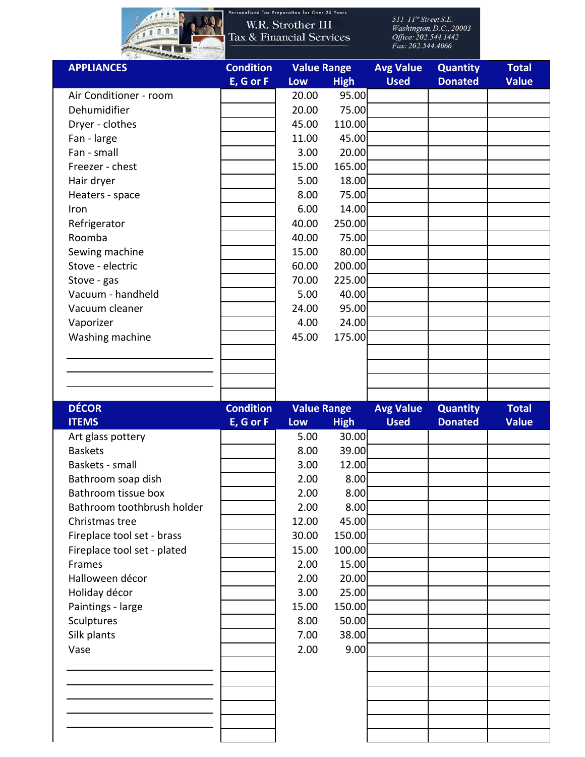

Personalized Tax Preparation for Over 25 Years

| <b>APPLIANCES</b>           | <b>Condition</b> | <b>Value Range</b> |             | <b>Avg Value</b> | <b>Quantity</b> | <b>Total</b> |
|-----------------------------|------------------|--------------------|-------------|------------------|-----------------|--------------|
|                             | E, G or F        | Low                | <b>High</b> | <b>Used</b>      | <b>Donated</b>  | <b>Value</b> |
| Air Conditioner - room      |                  | 20.00              | 95.00       |                  |                 |              |
| Dehumidifier                |                  | 20.00              | 75.00       |                  |                 |              |
| Dryer - clothes             |                  | 45.00              | 110.00      |                  |                 |              |
| Fan - large                 |                  | 11.00              | 45.00       |                  |                 |              |
| Fan - small                 |                  | 3.00               | 20.00       |                  |                 |              |
| Freezer - chest             |                  | 15.00              | 165.00      |                  |                 |              |
| Hair dryer                  |                  | 5.00               | 18.00       |                  |                 |              |
| Heaters - space             |                  | 8.00               | 75.00       |                  |                 |              |
| Iron                        |                  | 6.00               | 14.00       |                  |                 |              |
| Refrigerator                |                  | 40.00              | 250.00      |                  |                 |              |
| Roomba                      |                  | 40.00              | 75.00       |                  |                 |              |
| Sewing machine              |                  | 15.00              | 80.00       |                  |                 |              |
| Stove - electric            |                  | 60.00              | 200.00      |                  |                 |              |
| Stove - gas                 |                  | 70.00              | 225.00      |                  |                 |              |
| Vacuum - handheld           |                  | 5.00               | 40.00       |                  |                 |              |
| Vacuum cleaner              |                  | 24.00              | 95.00       |                  |                 |              |
| Vaporizer                   |                  | 4.00               | 24.00       |                  |                 |              |
| Washing machine             |                  | 45.00              | 175.00      |                  |                 |              |
|                             |                  |                    |             |                  |                 |              |
|                             |                  |                    |             |                  |                 |              |
|                             |                  |                    |             |                  |                 |              |
|                             |                  |                    |             |                  |                 |              |
|                             |                  |                    |             |                  |                 |              |
| <b>DÉCOR</b>                | <b>Condition</b> | <b>Value Range</b> |             | <b>Avg Value</b> | <b>Quantity</b> | <b>Total</b> |
| <b>ITEMS</b>                | E, G or F        | Low                | <b>High</b> | <b>Used</b>      | <b>Donated</b>  | <b>Value</b> |
| Art glass pottery           |                  | 5.00               | 30.00       |                  |                 |              |
| <b>Baskets</b>              |                  | 8.00               | 39.00       |                  |                 |              |
| Baskets - small             |                  | 3.00               | 12.00       |                  |                 |              |
| Bathroom soap dish          |                  | 2.00               | 8.00        |                  |                 |              |
| Bathroom tissue box         |                  | 2.00               | 8.00        |                  |                 |              |
| Bathroom toothbrush holder  |                  | 2.00               | 8.00        |                  |                 |              |
| Christmas tree              |                  | 12.00              | 45.00       |                  |                 |              |
| Fireplace tool set - brass  |                  | 30.00              | 150.00      |                  |                 |              |
| Fireplace tool set - plated |                  | 15.00              | 100.00      |                  |                 |              |
| Frames                      |                  | 2.00               | 15.00       |                  |                 |              |
| Halloween décor             |                  | 2.00               | 20.00       |                  |                 |              |
| Holiday décor               |                  | 3.00               | 25.00       |                  |                 |              |
| Paintings - large           |                  | 15.00              | 150.00      |                  |                 |              |
| Sculptures                  |                  | 8.00               | 50.00       |                  |                 |              |
| Silk plants                 |                  | 7.00               | 38.00       |                  |                 |              |
| Vase                        |                  | 2.00               | 9.00        |                  |                 |              |
|                             |                  |                    |             |                  |                 |              |
|                             |                  |                    |             |                  |                 |              |
|                             |                  |                    |             |                  |                 |              |
|                             |                  |                    |             |                  |                 |              |
|                             |                  |                    |             |                  |                 |              |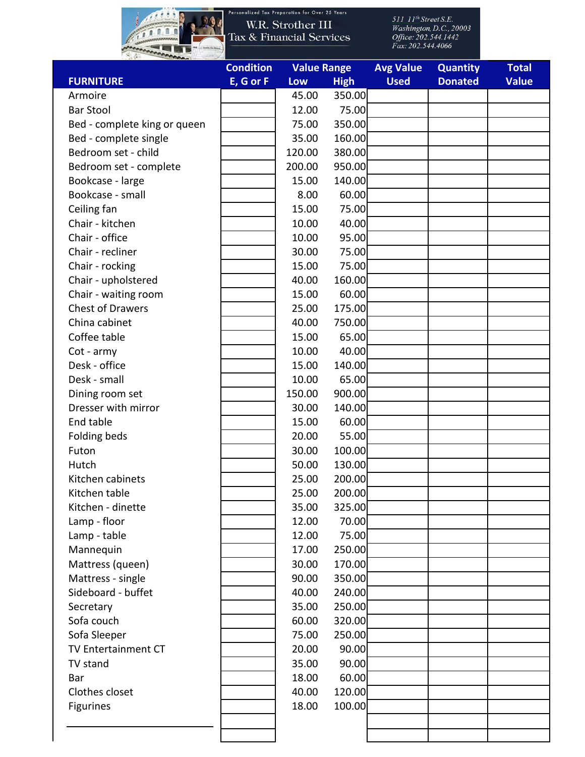

Personalized Tax Preparation for Over 25 Years

|                              | <b>Condition</b> | <b>Value Range</b> |             | <b>Avg Value</b> | <b>Quantity</b> | <b>Total</b> |
|------------------------------|------------------|--------------------|-------------|------------------|-----------------|--------------|
| <b>FURNITURE</b>             | E, G or F        | Low                | <b>High</b> | <b>Used</b>      | <b>Donated</b>  | <b>Value</b> |
| Armoire                      |                  | 45.00              | 350.00      |                  |                 |              |
| <b>Bar Stool</b>             |                  | 12.00              | 75.00       |                  |                 |              |
| Bed - complete king or queen |                  | 75.00              | 350.00      |                  |                 |              |
| Bed - complete single        |                  | 35.00              | 160.00      |                  |                 |              |
| Bedroom set - child          |                  | 120.00             | 380.00      |                  |                 |              |
| Bedroom set - complete       |                  | 200.00             | 950.00      |                  |                 |              |
| Bookcase - large             |                  | 15.00              | 140.00      |                  |                 |              |
| Bookcase - small             |                  | 8.00               | 60.00       |                  |                 |              |
| Ceiling fan                  |                  | 15.00              | 75.00       |                  |                 |              |
| Chair - kitchen              |                  | 10.00              | 40.00       |                  |                 |              |
| Chair - office               |                  | 10.00              | 95.00       |                  |                 |              |
| Chair - recliner             |                  | 30.00              | 75.00       |                  |                 |              |
| Chair - rocking              |                  | 15.00              | 75.00       |                  |                 |              |
| Chair - upholstered          |                  | 40.00              | 160.00      |                  |                 |              |
| Chair - waiting room         |                  | 15.00              | 60.00       |                  |                 |              |
| <b>Chest of Drawers</b>      |                  | 25.00              | 175.00      |                  |                 |              |
| China cabinet                |                  | 40.00              | 750.00      |                  |                 |              |
| Coffee table                 |                  | 15.00              | 65.00       |                  |                 |              |
| Cot - army                   |                  | 10.00              | 40.00       |                  |                 |              |
| Desk - office                |                  | 15.00              | 140.00      |                  |                 |              |
| Desk - small                 |                  | 10.00              | 65.00       |                  |                 |              |
| Dining room set              |                  | 150.00             | 900.00      |                  |                 |              |
| Dresser with mirror          |                  | 30.00              | 140.00      |                  |                 |              |
| End table                    |                  | 15.00              | 60.00       |                  |                 |              |
|                              |                  | 20.00              | 55.00       |                  |                 |              |
| Folding beds<br>Futon        |                  | 30.00              | 100.00      |                  |                 |              |
| Hutch                        |                  |                    | 130.00      |                  |                 |              |
| Kitchen cabinets             |                  | 50.00<br>25.00     | 200.00      |                  |                 |              |
|                              |                  |                    |             |                  |                 |              |
| Kitchen table                |                  | 25.00              | 200.00      |                  |                 |              |
| Kitchen - dinette            |                  | 35.00              | 325.00      |                  |                 |              |
| Lamp - floor                 |                  | 12.00              | 70.00       |                  |                 |              |
| Lamp - table                 |                  | 12.00              | 75.00       |                  |                 |              |
| Mannequin                    |                  | 17.00              | 250.00      |                  |                 |              |
| Mattress (queen)             |                  | 30.00              | 170.00      |                  |                 |              |
| Mattress - single            |                  | 90.00              | 350.00      |                  |                 |              |
| Sideboard - buffet           |                  | 40.00              | 240.00      |                  |                 |              |
| Secretary                    |                  | 35.00              | 250.00      |                  |                 |              |
| Sofa couch                   |                  | 60.00              | 320.00      |                  |                 |              |
| Sofa Sleeper                 |                  | 75.00              | 250.00      |                  |                 |              |
| TV Entertainment CT          |                  | 20.00              | 90.00       |                  |                 |              |
| TV stand                     |                  | 35.00              | 90.00       |                  |                 |              |
| Bar                          |                  | 18.00              | 60.00       |                  |                 |              |
| Clothes closet               |                  | 40.00              | 120.00      |                  |                 |              |
| <b>Figurines</b>             |                  | 18.00              | 100.00      |                  |                 |              |
|                              |                  |                    |             |                  |                 |              |
|                              |                  |                    |             |                  |                 |              |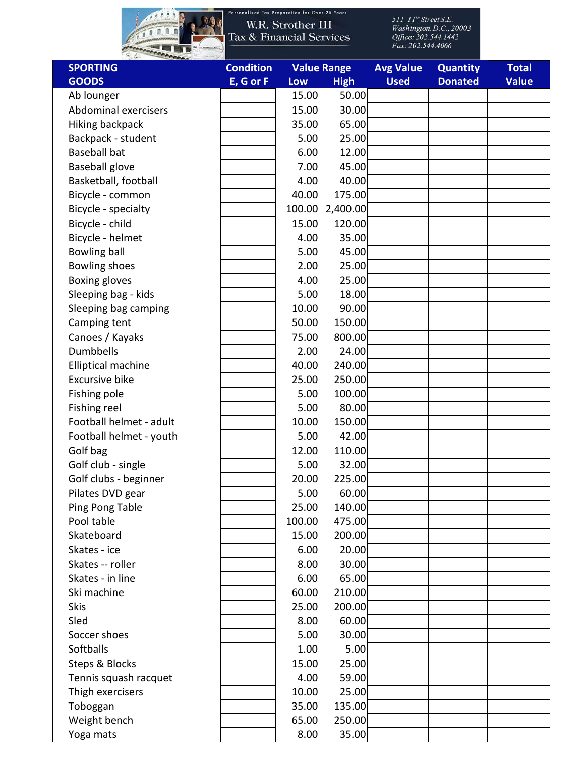

Personalized Tax Preparation for Over 25 Years

| <b>SPORTING</b>             | <b>Condition</b> |        | <b>Value Range</b> | <b>Avg Value</b> | <b>Quantity</b> | <b>Total</b> |
|-----------------------------|------------------|--------|--------------------|------------------|-----------------|--------------|
| <b>GOODS</b>                | E, G or F        | Low    | <b>High</b>        | <b>Used</b>      | <b>Donated</b>  | <b>Value</b> |
| Ab lounger                  |                  | 15.00  | 50.00              |                  |                 |              |
| <b>Abdominal exercisers</b> |                  | 15.00  | 30.00              |                  |                 |              |
| <b>Hiking backpack</b>      |                  | 35.00  | 65.00              |                  |                 |              |
| Backpack - student          |                  | 5.00   | 25.00              |                  |                 |              |
| <b>Baseball bat</b>         |                  | 6.00   | 12.00              |                  |                 |              |
| <b>Baseball glove</b>       |                  | 7.00   | 45.00              |                  |                 |              |
| Basketball, football        |                  | 4.00   | 40.00              |                  |                 |              |
| Bicycle - common            |                  | 40.00  | 175.00             |                  |                 |              |
| Bicycle - specialty         |                  |        | 100.00 2,400.00    |                  |                 |              |
| Bicycle - child             |                  | 15.00  | 120.00             |                  |                 |              |
| Bicycle - helmet            |                  | 4.00   | 35.00              |                  |                 |              |
| <b>Bowling ball</b>         |                  | 5.00   | 45.00              |                  |                 |              |
| <b>Bowling shoes</b>        |                  | 2.00   | 25.00              |                  |                 |              |
| Boxing gloves               |                  | 4.00   | 25.00              |                  |                 |              |
| Sleeping bag - kids         |                  | 5.00   | 18.00              |                  |                 |              |
| Sleeping bag camping        |                  | 10.00  | 90.00              |                  |                 |              |
| Camping tent                |                  | 50.00  | 150.00             |                  |                 |              |
| Canoes / Kayaks             |                  | 75.00  | 800.00             |                  |                 |              |
| <b>Dumbbells</b>            |                  | 2.00   | 24.00              |                  |                 |              |
| <b>Elliptical machine</b>   |                  | 40.00  | 240.00             |                  |                 |              |
| <b>Excursive bike</b>       |                  | 25.00  | 250.00             |                  |                 |              |
| Fishing pole                |                  | 5.00   | 100.00             |                  |                 |              |
| Fishing reel                |                  | 5.00   | 80.00              |                  |                 |              |
| Football helmet - adult     |                  | 10.00  | 150.00             |                  |                 |              |
| Football helmet - youth     |                  | 5.00   | 42.00              |                  |                 |              |
| Golf bag                    |                  | 12.00  | 110.00             |                  |                 |              |
| Golf club - single          |                  | 5.00   | 32.00              |                  |                 |              |
| Golf clubs - beginner       |                  | 20.00  | 225.00             |                  |                 |              |
| Pilates DVD gear            |                  | 5.00   | 60.00              |                  |                 |              |
| Ping Pong Table             |                  | 25.00  | 140.00             |                  |                 |              |
| Pool table                  |                  | 100.00 | 475.00             |                  |                 |              |
| Skateboard                  |                  | 15.00  | 200.00             |                  |                 |              |
| Skates - ice                |                  | 6.00   | 20.00              |                  |                 |              |
| Skates -- roller            |                  | 8.00   | 30.00              |                  |                 |              |
| Skates - in line            |                  | 6.00   | 65.00              |                  |                 |              |
| Ski machine                 |                  | 60.00  | 210.00             |                  |                 |              |
| <b>Skis</b>                 |                  | 25.00  | 200.00             |                  |                 |              |
| Sled                        |                  | 8.00   | 60.00              |                  |                 |              |
| Soccer shoes                |                  | 5.00   | 30.00              |                  |                 |              |
| Softballs                   |                  | 1.00   | 5.00               |                  |                 |              |
| Steps & Blocks              |                  | 15.00  | 25.00              |                  |                 |              |
| Tennis squash racquet       |                  | 4.00   | 59.00              |                  |                 |              |
| Thigh exercisers            |                  | 10.00  | 25.00              |                  |                 |              |
| Toboggan                    |                  | 35.00  | 135.00             |                  |                 |              |
| Weight bench                |                  | 65.00  | 250.00             |                  |                 |              |
| Yoga mats                   |                  | 8.00   | 35.00              |                  |                 |              |
|                             |                  |        |                    |                  |                 |              |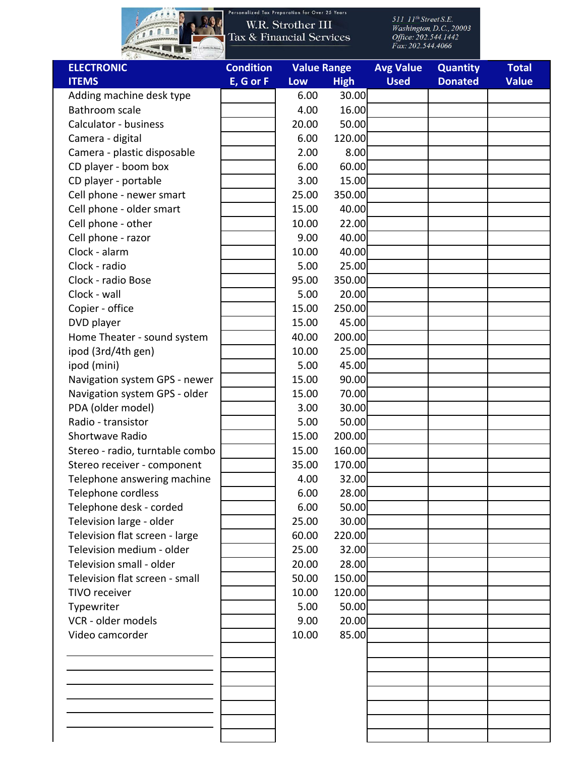

Personalized Tax Preparation for Over 25 Years

| <b>ELECTRONIC</b>               | <b>Condition</b> | <b>Value Range</b> |             | <b>Avg Value</b> | <b>Quantity</b> | <b>Total</b> |
|---------------------------------|------------------|--------------------|-------------|------------------|-----------------|--------------|
| <b>ITEMS</b>                    | E, G or F        | Low                | <b>High</b> | <b>Used</b>      | <b>Donated</b>  | <b>Value</b> |
| Adding machine desk type        |                  | 6.00               | 30.00       |                  |                 |              |
| Bathroom scale                  |                  | 4.00               | 16.00       |                  |                 |              |
| Calculator - business           |                  | 20.00              | 50.00       |                  |                 |              |
| Camera - digital                |                  | 6.00               | 120.00      |                  |                 |              |
| Camera - plastic disposable     |                  | 2.00               | 8.00        |                  |                 |              |
| CD player - boom box            |                  | 6.00               | 60.00       |                  |                 |              |
| CD player - portable            |                  | 3.00               | 15.00       |                  |                 |              |
| Cell phone - newer smart        |                  | 25.00              | 350.00      |                  |                 |              |
| Cell phone - older smart        |                  | 15.00              | 40.00       |                  |                 |              |
| Cell phone - other              |                  | 10.00              | 22.00       |                  |                 |              |
| Cell phone - razor              |                  | 9.00               | 40.00       |                  |                 |              |
| Clock - alarm                   |                  | 10.00              | 40.00       |                  |                 |              |
| Clock - radio                   |                  | 5.00               | 25.00       |                  |                 |              |
| Clock - radio Bose              |                  | 95.00              | 350.00      |                  |                 |              |
| Clock - wall                    |                  | 5.00               | 20.00       |                  |                 |              |
| Copier - office                 |                  | 15.00              | 250.00      |                  |                 |              |
| DVD player                      |                  | 15.00              | 45.00       |                  |                 |              |
| Home Theater - sound system     |                  | 40.00              | 200.00      |                  |                 |              |
| ipod (3rd/4th gen)              |                  | 10.00              | 25.00       |                  |                 |              |
| ipod (mini)                     |                  | 5.00               | 45.00       |                  |                 |              |
| Navigation system GPS - newer   |                  | 15.00              | 90.00       |                  |                 |              |
| Navigation system GPS - older   |                  | 15.00              | 70.00       |                  |                 |              |
| PDA (older model)               |                  | 3.00               | 30.00       |                  |                 |              |
| Radio - transistor              |                  | 5.00               | 50.00       |                  |                 |              |
| Shortwave Radio                 |                  | 15.00              | 200.00      |                  |                 |              |
| Stereo - radio, turntable combo |                  | 15.00              | 160.00      |                  |                 |              |
| Stereo receiver - component     |                  | 35.00              | 170.00      |                  |                 |              |
| Telephone answering machine     |                  | 4.00               | 32.00       |                  |                 |              |
| Telephone cordless              |                  | 6.00               | 28.00       |                  |                 |              |
| Telephone desk - corded         |                  | 6.00               | 50.00       |                  |                 |              |
| Television large - older        |                  | 25.00              | 30.00       |                  |                 |              |
| Television flat screen - large  |                  | 60.00              | 220.00      |                  |                 |              |
| Television medium - older       |                  | 25.00              | 32.00       |                  |                 |              |
| Television small - older        |                  | 20.00              | 28.00       |                  |                 |              |
| Television flat screen - small  |                  | 50.00              | 150.00      |                  |                 |              |
| TIVO receiver                   |                  | 10.00              | 120.00      |                  |                 |              |
| Typewriter                      |                  | 5.00               | 50.00       |                  |                 |              |
| VCR - older models              |                  | 9.00               | 20.00       |                  |                 |              |
| Video camcorder                 |                  | 10.00              | 85.00       |                  |                 |              |
|                                 |                  |                    |             |                  |                 |              |
|                                 |                  |                    |             |                  |                 |              |
|                                 |                  |                    |             |                  |                 |              |
|                                 |                  |                    |             |                  |                 |              |
|                                 |                  |                    |             |                  |                 |              |
|                                 |                  |                    |             |                  |                 |              |
|                                 |                  |                    |             |                  |                 |              |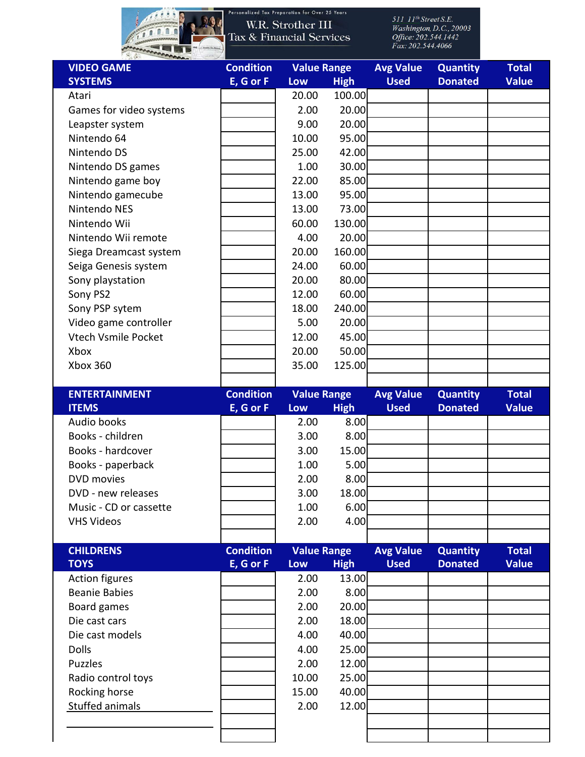

Personalized Tax Preparation for Over 25 Years

| <b>VIDEO GAME</b>          | <b>Condition</b> |                    | <b>Value Range</b> |                  | <b>Quantity</b> | <b>Total</b> |
|----------------------------|------------------|--------------------|--------------------|------------------|-----------------|--------------|
| <b>SYSTEMS</b>             | E, G or F        | Low                | <b>High</b>        | <b>Used</b>      | <b>Donated</b>  | <b>Value</b> |
| Atari                      |                  | 20.00              | 100.00             |                  |                 |              |
| Games for video systems    |                  | 2.00               | 20.00              |                  |                 |              |
| Leapster system            |                  | 9.00               | 20.00              |                  |                 |              |
| Nintendo 64                |                  | 10.00              | 95.00              |                  |                 |              |
| Nintendo DS                |                  | 25.00              | 42.00              |                  |                 |              |
| Nintendo DS games          |                  | 1.00               | 30.00              |                  |                 |              |
| Nintendo game boy          |                  | 22.00              | 85.00              |                  |                 |              |
| Nintendo gamecube          |                  | 13.00              | 95.00              |                  |                 |              |
| Nintendo NES               |                  | 13.00              | 73.00              |                  |                 |              |
| Nintendo Wii               |                  | 60.00              | 130.00             |                  |                 |              |
| Nintendo Wii remote        |                  | 4.00               | 20.00              |                  |                 |              |
| Siega Dreamcast system     |                  | 20.00              | 160.00             |                  |                 |              |
| Seiga Genesis system       |                  | 24.00              | 60.00              |                  |                 |              |
| Sony playstation           |                  | 20.00              | 80.00              |                  |                 |              |
| Sony PS2                   |                  | 12.00              | 60.00              |                  |                 |              |
| Sony PSP sytem             |                  | 18.00              | 240.00             |                  |                 |              |
| Video game controller      |                  | 5.00               | 20.00              |                  |                 |              |
| <b>Vtech Vsmile Pocket</b> |                  | 12.00              | 45.00              |                  |                 |              |
| Xbox                       |                  | 20.00              | 50.00              |                  |                 |              |
| Xbox 360                   |                  | 35.00              | 125.00             |                  |                 |              |
|                            |                  |                    |                    |                  |                 |              |
| <b>ENTERTAINMENT</b>       | <b>Condition</b> | <b>Value Range</b> |                    | <b>Avg Value</b> | <b>Quantity</b> | <b>Total</b> |
| <b>ITEMS</b>               | E, G or F        | Low                | <b>High</b>        | <b>Used</b>      | <b>Donated</b>  | <b>Value</b> |
| Audio books                |                  | 2.00               | 8.00               |                  |                 |              |
| Books - children           |                  | 3.00               | 8.00               |                  |                 |              |
| Books - hardcover          |                  | 3.00               | 15.00              |                  |                 |              |
| Books - paperback          |                  | 1.00               | 5.00               |                  |                 |              |
| <b>DVD</b> movies          |                  | 2.00               | 8.00               |                  |                 |              |
| DVD - new releases         |                  | 3.00               | 18.00              |                  |                 |              |
| Music - CD or cassette     |                  | 1.00               | 6.00               |                  |                 |              |
| <b>VHS Videos</b>          |                  | 2.00               | 4.00               |                  |                 |              |
|                            |                  |                    |                    |                  |                 |              |
| <b>CHILDRENS</b>           | <b>Condition</b> | <b>Value Range</b> |                    | <b>Avg Value</b> | <b>Quantity</b> | <b>Total</b> |
| <b>TOYS</b>                | E, G or F        | Low                | <b>High</b>        | <b>Used</b>      | <b>Donated</b>  | <b>Value</b> |
| <b>Action figures</b>      |                  | 2.00               | 13.00              |                  |                 |              |
| <b>Beanie Babies</b>       |                  | 2.00               | 8.00               |                  |                 |              |
| Board games                |                  | 2.00               | 20.00              |                  |                 |              |
| Die cast cars              |                  | 2.00               | 18.00              |                  |                 |              |
| Die cast models            |                  | 4.00               | 40.00              |                  |                 |              |
| <b>Dolls</b>               |                  | 4.00               | 25.00              |                  |                 |              |
| <b>Puzzles</b>             |                  | 2.00               | 12.00              |                  |                 |              |
| Radio control toys         |                  | 10.00              | 25.00              |                  |                 |              |
| Rocking horse              |                  | 15.00              | 40.00              |                  |                 |              |
| Stuffed animals            |                  | 2.00               | 12.00              |                  |                 |              |
|                            |                  |                    |                    |                  |                 |              |
|                            |                  |                    |                    |                  |                 |              |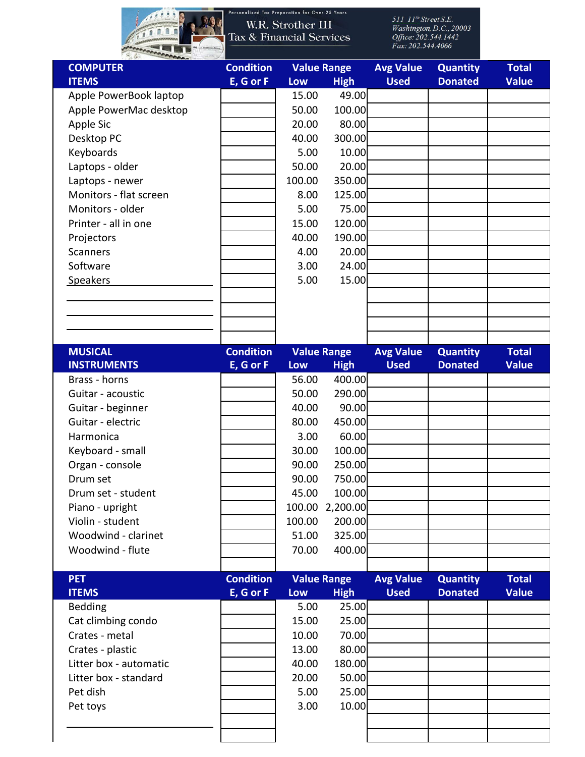

Personalized Tax Preparation for Over 25 Years

| <b>COMPUTER</b>        | <b>Condition</b> | <b>Value Range</b> |                    | <b>Avg Value</b> | <b>Quantity</b> | <b>Total</b> |
|------------------------|------------------|--------------------|--------------------|------------------|-----------------|--------------|
| <b>ITEMS</b>           | E, G or F        | Low                | <b>High</b>        | <b>Used</b>      | <b>Donated</b>  | <b>Value</b> |
| Apple PowerBook laptop |                  | 15.00              | 49.00              |                  |                 |              |
| Apple PowerMac desktop |                  | 50.00              | 100.00             |                  |                 |              |
| Apple Sic              |                  | 20.00              | 80.00              |                  |                 |              |
| Desktop PC             |                  | 40.00              | 300.00             |                  |                 |              |
| Keyboards              |                  | 5.00               | 10.00              |                  |                 |              |
| Laptops - older        |                  | 50.00              | 20.00              |                  |                 |              |
| Laptops - newer        |                  | 100.00             | 350.00             |                  |                 |              |
| Monitors - flat screen |                  | 8.00               | 125.00             |                  |                 |              |
| Monitors - older       |                  | 5.00               | 75.00              |                  |                 |              |
| Printer - all in one   |                  | 15.00              | 120.00             |                  |                 |              |
| Projectors             |                  | 40.00              | 190.00             |                  |                 |              |
| <b>Scanners</b>        |                  | 4.00               | 20.00              |                  |                 |              |
| Software               |                  | 3.00               | 24.00              |                  |                 |              |
| <b>Speakers</b>        |                  | 5.00               | 15.00              |                  |                 |              |
|                        |                  |                    |                    |                  |                 |              |
|                        |                  |                    |                    |                  |                 |              |
|                        |                  |                    |                    |                  |                 |              |
|                        |                  |                    |                    |                  |                 |              |
| <b>MUSICAL</b>         | <b>Condition</b> |                    | <b>Value Range</b> | <b>Avg Value</b> | <b>Quantity</b> | <b>Total</b> |
| <b>INSTRUMENTS</b>     | E, G or F        | Low                | <b>High</b>        | <b>Used</b>      | <b>Donated</b>  | <b>Value</b> |
| Brass - horns          |                  | 56.00              | 400.00             |                  |                 |              |
| Guitar - acoustic      |                  | 50.00              | 290.00             |                  |                 |              |
| Guitar - beginner      |                  | 40.00              | 90.00              |                  |                 |              |
| Guitar - electric      |                  | 80.00              | 450.00             |                  |                 |              |
| Harmonica              |                  | 3.00               | 60.00              |                  |                 |              |
| Keyboard - small       |                  | 30.00              | 100.00             |                  |                 |              |
| Organ - console        |                  | 90.00              | 250.00             |                  |                 |              |
| Drum set               |                  | 90.00              | 750.00             |                  |                 |              |
| Drum set - student     |                  | 45.00              | 100.00             |                  |                 |              |
| Piano - upright        |                  | 100.00             | 2,200.00           |                  |                 |              |
| Violin - student       |                  | 100.00             | 200.00             |                  |                 |              |
| Woodwind - clarinet    |                  | 51.00              | 325.00             |                  |                 |              |
| Woodwind - flute       |                  | 70.00              | 400.00             |                  |                 |              |
|                        |                  |                    |                    |                  |                 |              |
| <b>PET</b>             | <b>Condition</b> |                    | <b>Value Range</b> | <b>Avg Value</b> | <b>Quantity</b> | <b>Total</b> |
| <b>ITEMS</b>           | E, G or F        | Low                | <b>High</b>        | <b>Used</b>      | <b>Donated</b>  | <b>Value</b> |
| Bedding                |                  | 5.00               | 25.00              |                  |                 |              |
| Cat climbing condo     |                  | 15.00              | 25.00              |                  |                 |              |
| Crates - metal         |                  | 10.00              | 70.00              |                  |                 |              |
| Crates - plastic       |                  | 13.00              | 80.00              |                  |                 |              |
| Litter box - automatic |                  | 40.00              | 180.00             |                  |                 |              |
| Litter box - standard  |                  | 20.00              | 50.00              |                  |                 |              |
| Pet dish               |                  | 5.00               | 25.00              |                  |                 |              |
| Pet toys               |                  | 3.00               | 10.00              |                  |                 |              |
|                        |                  |                    |                    |                  |                 |              |
|                        |                  |                    |                    |                  |                 |              |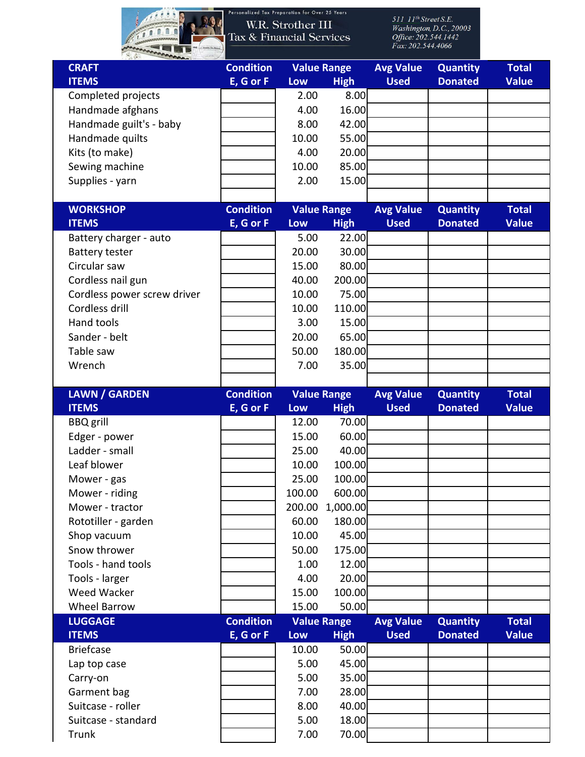

| <b>CRAFT</b>                      | <b>Condition</b> |                 | <b>Value Range</b>   |                  | <b>Quantity</b> | <b>Total</b> |
|-----------------------------------|------------------|-----------------|----------------------|------------------|-----------------|--------------|
| <b>ITEMS</b>                      | E, G or F        | Low             | <b>High</b>          | <b>Used</b>      | <b>Donated</b>  | <b>Value</b> |
| Completed projects                |                  | 2.00            | 8.00                 |                  |                 |              |
| Handmade afghans                  |                  | 4.00            | 16.00                |                  |                 |              |
| Handmade guilt's - baby           |                  | 8.00            | 42.00                |                  |                 |              |
| Handmade quilts                   |                  | 10.00           | 55.00                |                  |                 |              |
| Kits (to make)                    |                  | 4.00            | 20.00                |                  |                 |              |
| Sewing machine                    |                  | 10.00           | 85.00                |                  |                 |              |
| Supplies - yarn                   |                  | 2.00            | 15.00                |                  |                 |              |
|                                   |                  |                 |                      |                  |                 |              |
| <b>WORKSHOP</b>                   | <b>Condition</b> |                 | <b>Value Range</b>   | <b>Avg Value</b> | <b>Quantity</b> | <b>Total</b> |
| <b>ITEMS</b>                      | E, G or F        | Low             | <b>High</b>          | <b>Used</b>      | <b>Donated</b>  | <b>Value</b> |
| Battery charger - auto            |                  | 5.00            | 22.00                |                  |                 |              |
| <b>Battery tester</b>             |                  | 20.00           | 30.00                |                  |                 |              |
| Circular saw                      |                  | 15.00           | 80.00                |                  |                 |              |
| Cordless nail gun                 |                  | 40.00           | 200.00               |                  |                 |              |
| Cordless power screw driver       |                  | 10.00           | 75.00                |                  |                 |              |
| Cordless drill                    |                  | 10.00           | 110.00               |                  |                 |              |
| <b>Hand tools</b>                 |                  | 3.00            | 15.00                |                  |                 |              |
| Sander - belt                     |                  | 20.00           | 65.00                |                  |                 |              |
| Table saw                         |                  | 50.00           | 180.00               |                  |                 |              |
| Wrench                            |                  | 7.00            | 35.00                |                  |                 |              |
|                                   |                  |                 |                      |                  |                 |              |
| <b>LAWN / GARDEN</b>              | <b>Condition</b> |                 | <b>Value Range</b>   | <b>Avg Value</b> | <b>Quantity</b> | <b>Total</b> |
| <b>ITEMS</b>                      | E, G or F        | Low             | <b>High</b><br>70.00 | <b>Used</b>      | <b>Donated</b>  | <b>Value</b> |
| <b>BBQ</b> grill                  |                  | 12.00           | 60.00                |                  |                 |              |
| Edger - power<br>Ladder - small   |                  | 15.00           |                      |                  |                 |              |
| Leaf blower                       |                  | 25.00           | 40.00<br>100.00      |                  |                 |              |
|                                   |                  | 10.00           | 100.00               |                  |                 |              |
| Mower - gas                       |                  | 25.00<br>100.00 | 600.00               |                  |                 |              |
| Mower - riding<br>Mower - tractor |                  |                 | 200.00 1,000.00      |                  |                 |              |
| Rototiller - garden               |                  | 60.00           | 180.00               |                  |                 |              |
| Shop vacuum                       |                  | 10.00           | 45.00                |                  |                 |              |
| Snow thrower                      |                  | 50.00           | 175.00               |                  |                 |              |
| Tools - hand tools                |                  | 1.00            | 12.00                |                  |                 |              |
| Tools - larger                    |                  | 4.00            | 20.00                |                  |                 |              |
| <b>Weed Wacker</b>                |                  | 15.00           | 100.00               |                  |                 |              |
| <b>Wheel Barrow</b>               |                  | 15.00           | 50.00                |                  |                 |              |
| <b>LUGGAGE</b>                    | <b>Condition</b> |                 | <b>Value Range</b>   | <b>Avg Value</b> | <b>Quantity</b> | <b>Total</b> |
| <b>ITEMS</b>                      | E, G or F        | Low             | <b>High</b>          | <b>Used</b>      | <b>Donated</b>  | <b>Value</b> |
| <b>Briefcase</b>                  |                  | 10.00           | 50.00                |                  |                 |              |
| Lap top case                      |                  | 5.00            | 45.00                |                  |                 |              |
| Carry-on                          |                  | 5.00            | 35.00                |                  |                 |              |
| Garment bag                       |                  | 7.00            | 28.00                |                  |                 |              |
| Suitcase - roller                 |                  | 8.00            | 40.00                |                  |                 |              |
| Suitcase - standard               |                  | 5.00            | 18.00                |                  |                 |              |
| Trunk                             |                  | 7.00            | 70.00                |                  |                 |              |